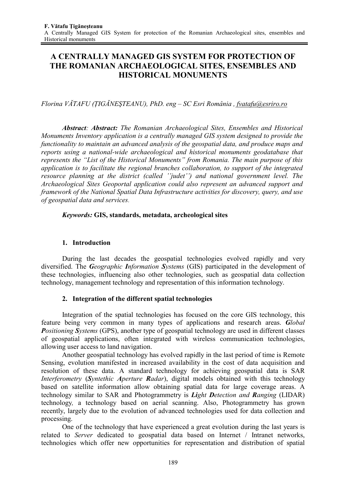# **A CENTRALLY MANAGED GIS SYSTEM FOR PROTECTION OF THE ROMANIAN ARCHAEOLOGICAL SITES, ENSEMBLES AND HISTORICAL MONUMENTS**

*Florina VĂTAFU (łIGĂNEŞTEANU), PhD. eng – SC Esri România , fvatafu@esriro.ro*

*Abstract: Abstract: The Romanian Archaeological Sites, Ensembles and Historical Monuments Inventory application is a centrally managed GIS system designed to provide the functionality to maintain an advanced analysis of the geospatial data, and produce maps and reports using a national-wide archaeological and historical monuments geodatabase that represents the "List of the Historical Monuments" from Romania. The main purpose of this application is to facilitate the regional branches collaboration, to support of the integrated resource planning at the district (called ''judet'') and national government level. The Archaeological Sites Geoportal application could also represent an advanced support and framework of the National Spatial Data Infrastructure activities for discovery, query, and use of geospatial data and services*.

### *Keywords:* **GIS, standards, metadata, archeological sites**

### **1. Introduction**

During the last decades the geospatial technologies evolved rapidly and very diversified. The *Geographic Information Systems* (GIS) participated in the development of these technologies, influencing also other technologies, such as geospatial data collection technology, management technology and representation of this information technology.

# **2. Integration of the different spatial technologies**

Integration of the spatial technologies has focused on the core GIS technology, this feature being very common in many types of applications and research areas. *Global Positioning Systems* (GPS), another type of geospatial technology are used in different classes of geospatial applications, often integrated with wireless communication technologies, allowing user access to land navigation.

Another geospatial technology has evolved rapidly in the last period of time is Remote Sensing, evolution manifested in increased availability in the cost of data acquisition and resolution of these data. A standard technology for achieving geospatial data is SAR *Interferometry* (*Syntethic Aperture Radar*), digital models obtained with this technology based on satellite information allow obtaining spatial data for large coverage areas. A technology similar to SAR and Photogrammetry is *Light Detection and Ranging* (LIDAR) technology*,* a technology based on aerial scanning. Also, Photogrammetry has grown recently, largely due to the evolution of advanced technologies used for data collection and processing.

One of the technology that have experienced a great evolution during the last years is related to *Server* dedicated to geospatial data based on Internet / Intranet networks, technologies which offer new opportunities for representation and distribution of spatial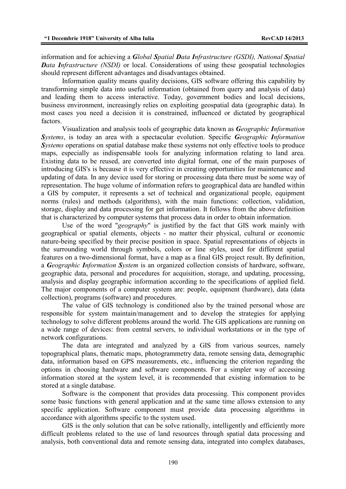information and for achieving a *Global Spatial Data Infrastructure (GSDI), National Spatial Data Infrastructure (NSDI)* or local. Considerations of using these geospatial technologies should represent different advantages and disadvantages obtained.

Information quality means quality decisions, GIS software offering this capability by transforming simple data into useful information (obtained from query and analysis of data) and leading them to access interactive. Today, government bodies and local decisions, business environment, increasingly relies on exploiting geospatial data (geographic data). In most cases you need a decision it is constrained, influenced or dictated by geographical factors.

Visualization and analysis tools of geographic data known as *Geographic Information Systems*, is today an area with a spectacular evolution. Specific *Geographic Information*  **S***ystems* operations on spatial database make these systems not only effective tools to produce maps, especially as indispensable tools for analyzing information relating to land area. Existing data to be reused, are converted into digital format, one of the main purposes of introducing GIS's is because it is very effective in creating opportunities for maintenance and updating of data. In any device used for storing or processing data there must be some way of representation. The huge volume of information refers to geographical data are handled within a GIS by computer, it represents a set of technical and organizational people, equipment norms (rules) and methods (algorithms), with the main functions: collection, validation, storage, display and data processing for get information. It follows from the above definition that is characterized by computer systems that process data in order to obtain information.

Use of the word "*geography*" is justified by the fact that GIS work mainly with geographical or spatial elements, objects - no matter their physical, cultural or economic nature-being specified by their precise position in space. Spatial representations of objects in the surrounding world through symbols, colors or line styles, used for different spatial features on a two-dimensional format, have a map as a final GIS project result. By definition, a *Geographic Information System* is an organized collection consists of hardware, software, geographic data, personal and procedures for acquisition, storage, and updating, processing, analysis and display geographic information according to the specifications of applied field. The major components of a computer system are: people, equipment (hardware), data (data collection), programs (software) and procedures.

The value of GIS technology is conditioned also by the trained personal whose are responsible for system maintain/management and to develop the strategies for applying technology to solve different problems around the world. The GIS applications are running on a wide range of devices: from central servers, to individual workstations or in the type of network configurations.

The data are integrated and analyzed by a GIS from various sources, namely topographical plans, thematic maps, photogrammetry data, remote sensing data, demographic data, information based on GPS measurements, etc., influencing the criterion regarding the options in choosing hardware and software components. For a simpler way of accessing information stored at the system level, it is recommended that existing information to be stored at a single database.

Software is the component that provides data processing. This component provides some basic functions with general application and at the same time allows extension to any specific application. Software component must provide data processing algorithms in accordance with algorithms specific to the system used.

GIS is the only solution that can be solve rationally, intelligently and efficiently more difficult problems related to the use of land resources through spatial data processing and analysis, both conventional data and remote sensing data, integrated into complex databases,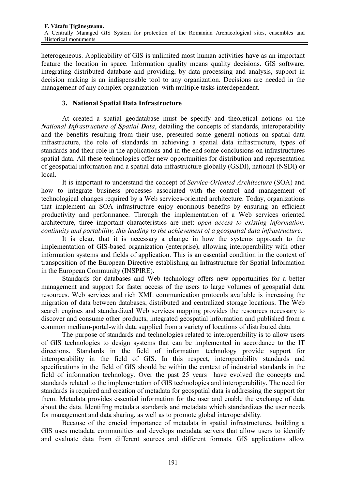heterogeneous. Applicability of GIS is unlimited most human activities have as an important feature the location in space. Information quality means quality decisions. GIS software, integrating distributed database and providing, by data processing and analysis, support in decision making is an indispensable tool to any organization. Decisions are needed in the management of any complex organization with multiple tasks interdependent.

### **3. National Spatial Data Infrastructure**

At created a spatial geodatabase must be specify and theoretical notions on the *National Infrastructure of Spatial Data*, detailing the concepts of standards, interoperability and the benefits resulting from their use, presented some general notions on spatial data infrastructure, the role of standards in achieving a spatial data infrastructure, types of standards and their role in the applications and in the end some conclusions on infrastructures spatial data. All these technologies offer new opportunities for distribution and representation of geospatial information and a spatial data infrastructure globally (GSDI), national (NSDI) or local.

It is important to understand the concept of *Service-Oriented Architecture* (SOA) and how to integrate business processes associated with the control and management of technological changes required by a Web services-oriented architecture. Today, organizations that implement an SOA infrastructure enjoy enormous benefits by ensuring an efficient productivity and performance. Through the implementation of a Web services oriented architecture, three important characteristics are met: *open access to existing information, continuity and portability, this leading to the achievement of a geospatial data infrastructure*.

It is clear, that it is necessary a change in how the systems approach to the implementation of GIS-based organization (enterprise), allowing interoperability with other information systems and fields of application. This is an essential condition in the context of transposition of the European Directive establishing an Infrastructure for Spatial Information in the European Community (INSPIRE).

Standards for databases and Web technology offers new opportunities for a better management and support for faster access of the users to large volumes of geospatial data resources. Web services and rich XML communication protocols available is increasing the migration of data between databases, distributed and centralized storage locations. The Web search engines and standardized Web services mapping provides the resources necessary to discover and consume other products, integrated geospatial information and published from a common medium-portal-with data supplied from a variety of locations of distributed data.

The purpose of standards and technologies related to interoperability is to allow users of GIS technologies to design systems that can be implemented in accordance to the IT directions. Standards in the field of information technology provide support for interoperability in the field of GIS. In this respect, interoperability standards and specifications in the field of GIS should be within the context of industrial standards in the field of information technology. Over the past 25 years have evolved the concepts and standards related to the implementation of GIS technologies and interoperability. The need for standards is required and creation of metadata for geospatial data is addressing the support for them. Metadata provides essential information for the user and enable the exchange of data about the data. Identifing metadata standards and metadata which standardizes the user needs for management and data sharing, as well as to promote global interoperability.

Because of the crucial importance of metadata in spatial infrastructures, building a GIS uses metadata communities and develops metadata servers that allow users to identify and evaluate data from different sources and different formats. GIS applications allow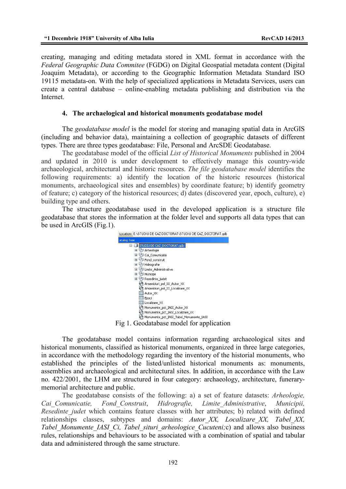creating, managing and editing metadata stored in XML format in accordance with the *Federal Geographic Data Commitee* (FGDG) on Digital Geospatial metadata content (Digital Joaquim Metadata), or according to the Geographic Information Metadata Standard ISO 19115 metadata-on. With the help of specialized applications in Metadata Services, users can create a central database – online-enabling metadata publishing and distribution via the Internet.

#### **4. The archaelogical and historical monuments geodatabase model**

The *geodatabase model* is the model for storing and managing spatial data in ArcGIS (including and behavior data), maintaining a collection of geographic datasets of different types. There are three types geodatabase: File, Personal and ArcSDE Geodatabase.

The geodatabase model of the official *List of Historical Monuments* published in 2004 and updated in 2010 is under development to effectively manage this country-wide archaeological, architectural and historic resources. *The file geodatabase model* identifies the following requirements: a) identify the location of the historic resources (historical monuments, archaeological sites and ensembles) by coordinate feature; b) identify geometry of feature; c) category of the historical resources; d) dates (discovered year, epoch, culture), e) building type and others.

The structure geodatabase used in the developed application is a structure file geodatabase that stores the information at the folder level and supports all data types that can be used in ArcGIS (Fig.1).



The geodatabase model contains information regarding archaeological sites and historical monuments, classified as historical monuments, organized in three large categories, in accordance with the methodology regarding the inventory of the historial monuments, who established the principles of the listed/unlisted historical monuments as: monuments, assemblies and archaeological and architectural sites. In addition, in accordance with the Law no. 422/2001, the LHM are structured in four category: archaeology, architecture, funerarymemorial architecture and public.

The geodatabase consists of the following: a) a set of feature datasets: *Arheologie, Cai\_Comunicatie, Fond\_Construit*, *Hidrografie, Limite\_Administrative*, *Municipii, Resedinte judet* which contains feature classes with her attributes; b) related with defined relationships classes, subtypes and domains: *Autor\_XX, Localizare\_XX, Tabel\_XX, Tabel Monumente IASI Ci, Tabel situri arheologice Cucuteni;c)* and allows also business rules, relationships and behaviours to be associated with a combination of spatial and tabular data and administered through the same structure.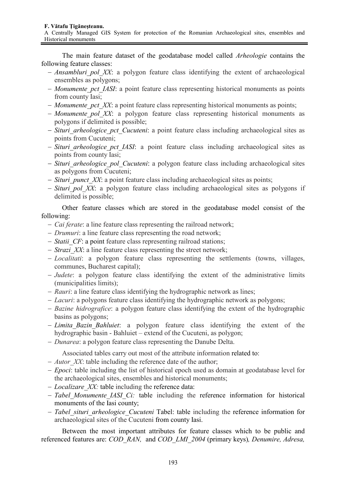#### **F. Vătafu łigăneşteanu.**

A Centrally Managed GIS System for protection of the Romanian Archaeological sites, ensembles and Historical monuments

The main feature dataset of the geodatabase model called *Arheologie* contains the following feature classes:

- − *Ansambluri\_pol\_XX*: a polygon feature class identifying the extent of archaeological ensembles as polygons;
- − *Monumente\_pct\_IASI*: a point feature class representing historical monuments as points from county Iasi;
- − *Monumente\_pct\_XX*: a point feature class representing historical monuments as points;
- − *Monumente\_pol\_XX*: a polygon feature class representing historical monuments as polygons if delimited is possible;
- − *Situri\_arheologice\_pct\_Cucuteni*: a point feature class including archaeological sites as points from Cucuteni;
- − *Situri\_arheologice\_pct\_IASI*: a point feature class including archaeological sites as points from county Iasi;
- − *Situri\_arheologice\_pol\_Cucuteni*: a polygon feature class including archaeological sites as polygons from Cucuteni;
- − *Situri\_punct\_XX*: a point feature class including archaeological sites as points;
- − *Situri\_pol\_XX*: a polygon feature class including archaeological sites as polygons if delimited is possible;

Other feature classes which are stored in the geodatabase model consist of the following:

- − *Cai ferate*: a line feature class representing the railroad network;
- − *Drumuri*: a line feature class representing the road network;
- − *Statii\_CF*: a point feature class representing railroad stations;
- − *Strazi\_XX*: a line feature class representing the street network;
- − *Localitati*: a polygon feature class representing the settlements (towns, villages, communes, Bucharest capital);
- − *Judete*: a polygon feature class identifying the extent of the administrative limits (municipalities limits);
- − *Rauri*: a line feature class identifying the hydrographic network as lines;
- − *Lacuri*: a polygons feature class identifying the hydrographic network as polygons;
- − *Bazine hidrografice*: a polygon feature class identifying the extent of the hydrographic basins as polygons;
- − *Limita\_Bazin\_Bahluiet*: a polygon feature class identifying the extent of the hydrographic basin - Bahluiet – extend of the Cucuteni, as polygon;
- − *Dunarea*: a polygon feature class representing the Danube Delta.

Associated tables carry out most of the attribute information related to:

- − *Autor\_XX*: table including the reference date of the author;
- − *Epoci*: table including the list of historical epoch used as domain at geodatabase level for the archaeological sites, ensembles and historical monuments;
- − *Localizare\_XX:* table including the reference data:
- − *Tabel\_Monumente\_IASI\_Ci:* table including the reference information for historical monuments of the Iasi county;
- − *Tabel\_situri\_arheologice\_Cucuteni* Tabel: table including the reference information for archaeological sites of the Cucuteni from county Iasi.

Between the most important attributes for feature classes which to be public and referenced features are: *COD\_RAN,* and *COD\_LMI\_2004* (primary keys)*, Denumire, Adresa,*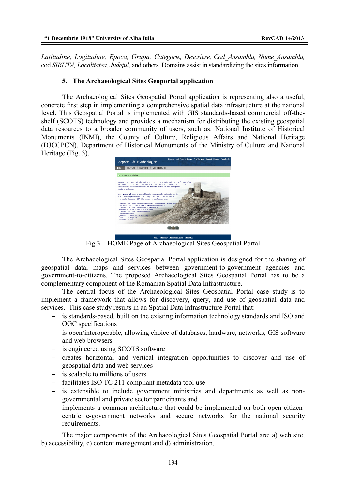*Latitudine, Logitudine, Epoca, Grupa, Categorie, Descriere, Cod\_Ansamblu, Nume\_Ansamblu,*  cod *SIRUTA, Localitatea, Judetul*, and others. Domains assist in standardizing the sites information.

#### **5. The Archaeological Sites Geoportal application**

The Archaeological Sites Geospatial Portal application is representing also a useful, concrete first step in implementing a comprehensive spatial data infrastructure at the national level. This Geospatial Portal is implemented with GIS standards-based commercial off-theshelf (SCOTS) technology and provides a mechanism for distributing the existing geospatial data resources to a broader community of users, such as: National Institute of Historical Monuments (INMI), the County of Culture, Religious Affairs and National Heritage (DJCCPCN), Department of Historical Monuments of the Ministry of Culture and National Heritage (Fig. 3).



Fig.3 – HOME Page of Archaeological Sites Geospatial Portal

The Archaeological Sites Geospatial Portal application is designed for the sharing of geospatial data, maps and services between government-to-government agencies and government-to-citizens. The proposed Archaeological Sites Geospatial Portal has to be a complementary component of the Romanian Spatial Data Infrastructure.

The central focus of the Archaeological Sites Geospatial Portal case study is to implement a framework that allows for discovery, query, and use of geospatial data and services. This case study results in an Spatial Data Infrastructure Portal that:

- − is standards-based, built on the existing information technology standards and ISO and OGC specifications
- − is open/interoperable, allowing choice of databases, hardware, networks, GIS software and web browsers
- − is engineered using SCOTS software
- − creates horizontal and vertical integration opportunities to discover and use of geospatial data and web services
- − is scalable to millions of users
- − facilitates ISO TC 211 compliant metadata tool use
- − is extensible to include government ministries and departments as well as nongovernmental and private sector participants and
- − implements a common architecture that could be implemented on both open citizencentric e-government networks and secure networks for the national security requirements.

The major components of the Archaeological Sites Geospatial Portal are: a) web site, b) accessibility, c) content management and d) administration.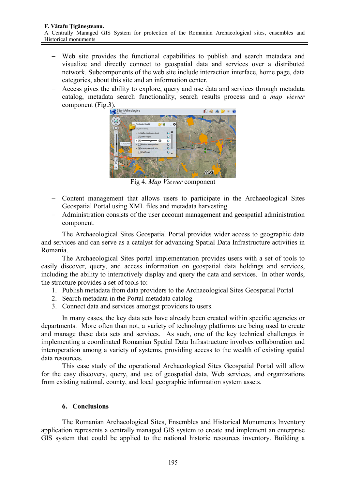- − Web site provides the functional capabilities to publish and search metadata and visualize and directly connect to geospatial data and services over a distributed network. Subcomponents of the web site include interaction interface, home page, data categories, about this site and an information center.
- − Access gives the ability to explore, query and use data and services through metadata catalog, metadata search functionality, search results process and a *map viewer* component (Fig.3).



Fig 4. *Map Viewer* component

- − Content management that allows users to participate in the Archaeological Sites Geospatial Portal using XML files and metadata harvesting
- − Administration consists of the user account management and geospatial administration component.

The Archaeological Sites Geospatial Portal provides wider access to geographic data and services and can serve as a catalyst for advancing Spatial Data Infrastructure activities in Romania.

The Archaeological Sites portal implementation provides users with a set of tools to easily discover, query, and access information on geospatial data holdings and services, including the ability to interactively display and query the data and services. In other words, the structure provides a set of tools to:

- 1. Publish metadata from data providers to the Archaeological Sites Geospatial Portal
- 2. Search metadata in the Portal metadata catalog
- 3. Connect data and services amongst providers to users.

In many cases, the key data sets have already been created within specific agencies or departments. More often than not, a variety of technology platforms are being used to create and manage these data sets and services. As such, one of the key technical challenges in implementing a coordinated Romanian Spatial Data Infrastructure involves collaboration and interoperation among a variety of systems, providing access to the wealth of existing spatial data resources.

This case study of the operational Archaeological Sites Geospatial Portal will allow for the easy discovery, query, and use of geospatial data, Web services, and organizations from existing national, county, and local geographic information system assets.

# **6. Conclusions**

The Romanian Archaeological Sites, Ensembles and Historical Monuments Inventory application represents a centrally managed GIS system to create and implement an enterprise GIS system that could be applied to the national historic resources inventory. Building a